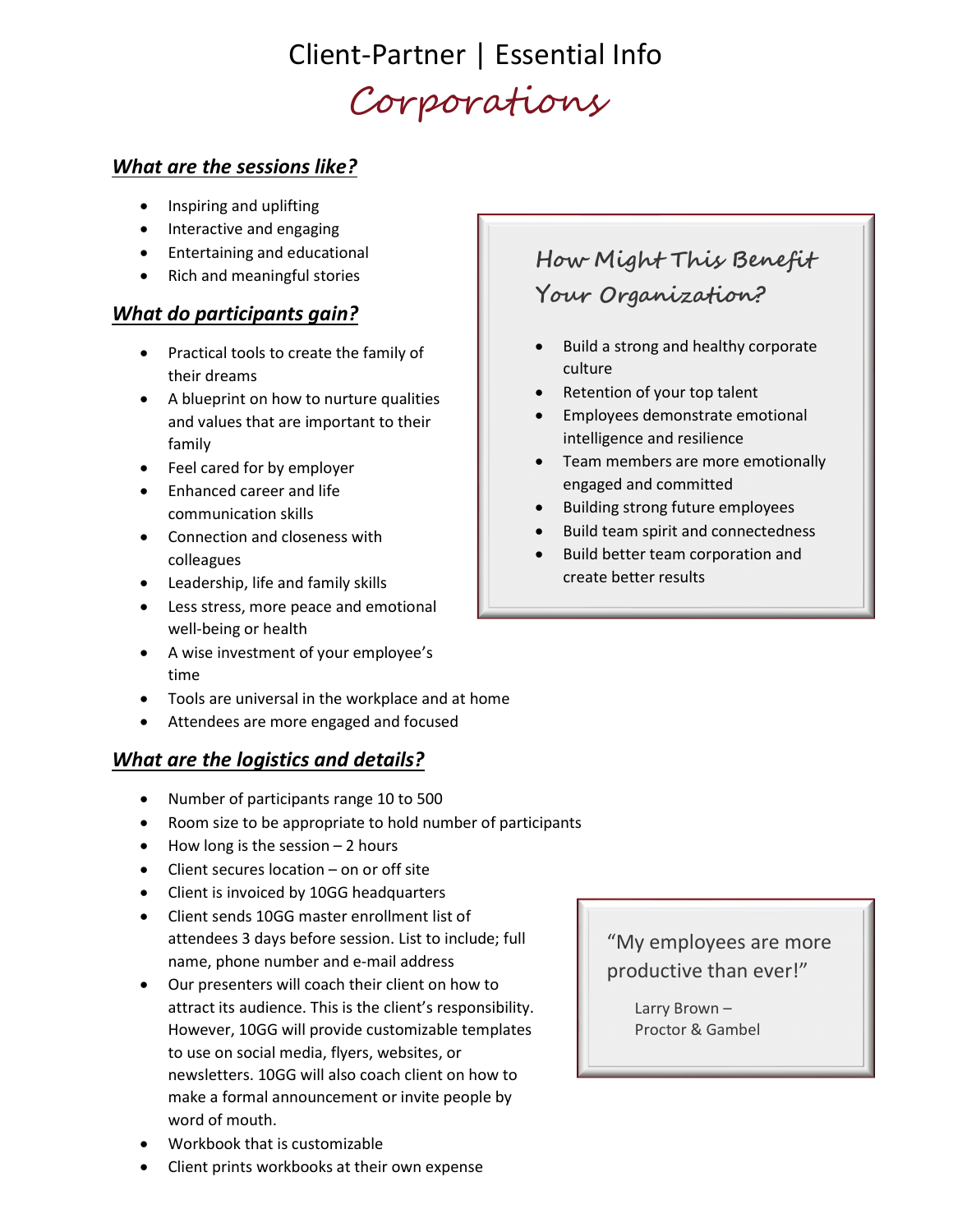## Client-Partner | Essential Info Corporations

#### What are the sessions like?

- Inspiring and uplifting
- Interactive and engaging
- Entertaining and educational
- Rich and meaningful stories

#### What do participants gain?

- Practical tools to create the family of their dreams
- A blueprint on how to nurture qualities and values that are important to their family
- Feel cared for by employer
- Enhanced career and life communication skills
- Connection and closeness with colleagues
- Leadership, life and family skills
- Less stress, more peace and emotional well-being or health
- A wise investment of your employee's time
- Tools are universal in the workplace and at home
- Attendees are more engaged and focused

### What are the logistics and details?

- Number of participants range 10 to 500
- Room size to be appropriate to hold number of participants
- $\bullet$  How long is the session 2 hours
- Client secures location on or off site
- Client is invoiced by 10GG headquarters
- Client sends 10GG master enrollment list of attendees 3 days before session. List to include; full name, phone number and e-mail address
- Our presenters will coach their client on how to attract its audience. This is the client's responsibility. However, 10GG will provide customizable templates to use on social media, flyers, websites, or newsletters. 10GG will also coach client on how to make a formal announcement or invite people by word of mouth.
- Workbook that is customizable
- Client prints workbooks at their own expense

### How Might This Benefit Your Organization?

- Build a strong and healthy corporate culture
- Retention of your top talent
- Employees demonstrate emotional intelligence and resilience
- Team members are more emotionally engaged and committed
- Building strong future employees
- Build team spirit and connectedness
- Build better team corporation and create better results

"My employees are more productive than ever!"

> Larry Brown – Proctor & Gambel